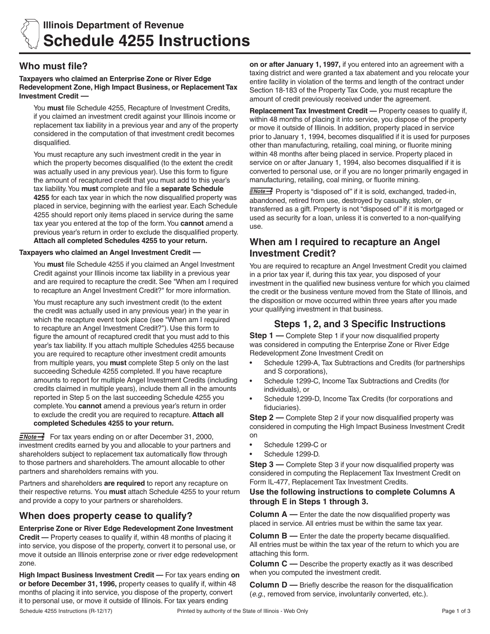

# **Who must file?**

#### **Taxpayers who claimed an Enterprise Zone or River Edge Redevelopment Zone, High Impact Business, or Replacement Tax Investment Credit —**

You **must** file Schedule 4255, Recapture of Investment Credits, if you claimed an investment credit against your Illinois income or replacement tax liability in a previous year and any of the property considered in the computation of that investment credit becomes disqualified.

You must recapture any such investment credit in the year in which the property becomes disqualified (to the extent the credit was actually used in any previous year). Use this form to figure the amount of recaptured credit that you must add to this year's tax liability. You **must** complete and file a **separate Schedule 4255** for each tax year in which the now disqualified property was placed in service, beginning with the earliest year. Each Schedule 4255 should report only items placed in service during the same tax year you entered at the top of the form. You **cannot** amend a previous year's return in order to exclude the disqualified property. **Attach all completed Schedules 4255 to your return.**

## **Taxpayers who claimed an Angel Investment Credit —**

You **must** file Schedule 4255 if you claimed an Angel Investment Credit against your Illinois income tax liability in a previous year and are required to recapture the credit. See "When am I required to recapture an Angel Investment Credit?" for more information.

You must recapture any such investment credit (to the extent the credit was actually used in any previous year) in the year in which the recapture event took place (see "When am I required to recapture an Angel Investment Credit?"). Use this form to figure the amount of recaptured credit that you must add to this year's tax liability. If you attach multiple Schedules 4255 because you are required to recapture other investment credit amounts from multiple years, you **must** complete Step 5 only on the last succeeding Schedule 4255 completed. If you have recapture amounts to report for multiple Angel Investment Credits (including credits claimed in multiple years), include them all in the amounts reported in Step 5 on the last succeeding Schedule 4255 you complete. You **cannot** amend a previous year's return in order to exclude the credit you are required to recapture. **Attach all completed Schedules 4255 to your return.**

 $\equiv$ Note  $\rightarrow$  For tax years ending on or after December 31, 2000, investment credits earned by you and allocable to your partners and shareholders subject to replacement tax automatically flow through to those partners and shareholders. The amount allocable to other partners and shareholders remains with you.

Partners and shareholders **are required** to report any recapture on their respective returns. You **must** attach Schedule 4255 to your return and provide a copy to your partners or shareholders.

# **When does property cease to qualify?**

**Enterprise Zone or River Edge Redevelopment Zone Investment Credit —** Property ceases to qualify if, within 48 months of placing it into service, you dispose of the property, convert it to personal use, or move it outside an Illinois enterprise zone or river edge redevelopment zone.

Schedule 4255 Instructions (R-12/17) **Printed by authority of the State of Illinois - Web Only Princed by authority of the State of Illinois - Web Only Princed by authority of the State of Illinois - Web Only Princed High Impact Business Investment Credit —** For tax years ending **on or before December 31, 1996,** property ceases to qualify if, within 48 months of placing it into service, you dispose of the property, convert it to personal use, or move it outside of Illinois. For tax years ending

**on or after January 1, 1997,** if you entered into an agreement with a taxing district and were granted a tax abatement and you relocate your entire facility in violation of the terms and length of the contract under Section 18-183 of the Property Tax Code, you must recapture the amount of credit previously received under the agreement.

**Replacement Tax Investment Credit —** Property ceases to qualify if, within 48 months of placing it into service, you dispose of the property or move it outside of Illinois. In addition, property placed in service prior to January 1, 1994, becomes disqualified if it is used for purposes other than manufacturing, retailing, coal mining, or fluorite mining within 48 months after being placed in service. Property placed in service on or after January 1, 1994, also becomes disqualified if it is converted to personal use, or if you are no longer primarily engaged in manufacturing, retailing, coal mining, or fluorite mining.

**ENote** <sup>2</sup> Property is "disposed of" if it is sold, exchanged, traded-in, abandoned, retired from use, destroyed by casualty, stolen, or transferred as a gift. Property is not "disposed of" if it is mortgaged or used as security for a loan, unless it is converted to a non-qualifying use.

## **When am I required to recapture an Angel Investment Credit?**

You are required to recapture an Angel Investment Credit you claimed in a prior tax year if, during this tax year, you disposed of your investment in the qualified new business venture for which you claimed the credit or the business venture moved from the State of Illinois, and the disposition or move occurred within three years after you made your qualifying investment in that business.

# **Steps 1, 2, and 3 Specific Instructions**

**Step 1** — Complete Step 1 if your now disqualified property was considered in computing the Enterprise Zone or River Edge Redevelopment Zone Investment Credit on

- Schedule 1299-A, Tax Subtractions and Credits (for partnerships and S corporations),
- Schedule 1299-C, Income Tax Subtractions and Credits (for individuals), or
- Schedule 1299-D, Income Tax Credits (for corporations and fiduciaries).

**Step 2** — Complete Step 2 if your now disqualified property was considered in computing the High Impact Business Investment Credit on

- Schedule 1299-C or
- Schedule 1299-D.

**Step 3** — Complete Step 3 if your now disqualified property was considered in computing the Replacement Tax Investment Credit on Form IL-477, Replacement Tax Investment Credits.

## **Use the following instructions to complete Columns A through E in Steps 1 through 3.**

**Column A** — Enter the date the now disqualified property was placed in service. All entries must be within the same tax year.

**Column B —** Enter the date the property became disqualified. All entries must be within the tax year of the return to which you are attaching this form.

**Column C** — Describe the property exactly as it was described when you computed the investment credit.

**Column D** — Briefly describe the reason for the disqualification (*e.g.*, removed from service, involuntarily converted, etc.).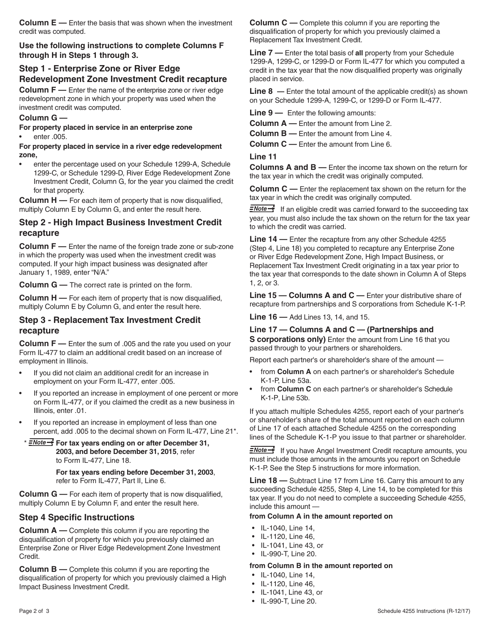**Column E —** Enter the basis that was shown when the investment credit was computed.

**Use the following instructions to complete Columns F through H in Steps 1 through 3.**

## **Step 1 - Enterprise Zone or River Edge Redevelopment Zone Investment Credit recapture**

**Column F** — Enter the name of the enterprise zone or river edge redevelopment zone in which your property was used when the investment credit was computed.

#### **Column G —**

**For property placed in service in an enterprise zone**

enter .005.

**For property placed in service in a river edge redevelopment zone,**

enter the percentage used on your Schedule 1299-A, Schedule 1299-C, or Schedule 1299-D, River Edge Redevelopment Zone Investment Credit, Column G, for the year you claimed the credit for that property.

**Column H —** For each item of property that is now disqualified, multiply Column E by Column G, and enter the result here.

## **Step 2 - High Impact Business Investment Credit recapture**

**Column F —** Enter the name of the foreign trade zone or sub-zone in which the property was used when the investment credit was computed. If your high impact business was designated after January 1, 1989, enter "N/A."

**Column G —** The correct rate is printed on the form.

**Column H —** For each item of property that is now disqualified, multiply Column E by Column G, and enter the result here.

## **Step 3 - Replacement Tax Investment Credit recapture**

**Column F —** Enter the sum of .005 and the rate you used on your Form IL-477 to claim an additional credit based on an increase of employment in Illinois.

- If you did not claim an additional credit for an increase in employment on your Form IL-477, enter .005.
- If you reported an increase in employment of one percent or more on Form IL-477, or if you claimed the credit as a new business in Illinois, enter .01.
- If you reported an increase in employment of less than one percent, add .005 to the decimal shown on Form IL-477, Line 21\*.
- \* **For tax years ending on or after December 31, 2003, and before December 31, 2015**, refer to Form IL-477, Line 18.

 **For tax years ending before December 31, 2003**, refer to Form IL-477, Part II, Line 6.

**Column G —** For each item of property that is now disqualified, multiply Column E by Column F, and enter the result here.

## **Step 4 Specific Instructions**

**Column A** — Complete this column if you are reporting the disqualification of property for which you previously claimed an Enterprise Zone or River Edge Redevelopment Zone Investment Credit.

**Column B —** Complete this column if you are reporting the disqualification of property for which you previously claimed a High Impact Business Investment Credit.

**Column C** — Complete this column if you are reporting the disqualification of property for which you previously claimed a Replacement Tax Investment Credit.

**Line 7 —** Enter the total basis of **all** property from your Schedule 1299-A, 1299-C, or 1299-D or Form IL-477 for which you computed a credit in the tax year that the now disqualified property was originally placed in service.

Line 8 – Enter the total amount of the applicable credit(s) as shown on your Schedule 1299-A, 1299-C, or 1299-D or Form IL-477.

**Line 9 —** Enter the following amounts:

**Column A —** Enter the amount from Line 2.

**Column B —** Enter the amount from Line 4.

**Column C —** Enter the amount from Line 6.

**Line 11**

**Columns A and B —** Enter the income tax shown on the return for the tax year in which the credit was originally computed.

**Column C —** Enter the replacement tax shown on the return for the tax year in which the credit was originally computed.

 $\equiv$ Note  $\rightarrow$  If an eligible credit was carried forward to the succeeding tax year, you must also include the tax shown on the return for the tax year to which the credit was carried.

**Line 14 —** Enter the recapture from any other Schedule 4255 (Step 4, Line 18) you completed to recapture any Enterprise Zone or River Edge Redevelopment Zone, High Impact Business, or Replacement Tax Investment Credit originating in a tax year prior to the tax year that corresponds to the date shown in Column A of Steps 1, 2, or 3.

**Line 15 — Columns A and C** — Enter your distributive share of recapture from partnerships and S corporations from Schedule K-1-P.

**Line 16 —** Add Lines 13, 14, and 15.

## **Line 17 — Columns A and C — (Partnerships and**

**S corporations only)** Enter the amount from Line 16 that you passed through to your partners or shareholders.

Report each partner's or shareholder's share of the amount —

- from **Column A** on each partner's or shareholder's Schedule K-1-P, Line 53a.
- from **Column C** on each partner's or shareholder's Schedule K-1-P, Line 53b.

If you attach multiple Schedules 4255, report each of your partner's or shareholder's share of the total amount reported on each column of Line 17 of each attached Schedule 4255 on the corresponding lines of the Schedule K-1-P you issue to that partner or shareholder.

 $\equiv$ Mote  $\rightarrow$  If you have Angel Investment Credit recapture amounts, you must include those amounts in the amounts you report on Schedule K-1-P. See the Step 5 instructions for more information.

**Line 18 —** Subtract Line 17 from Line 16. Carry this amount to any succeeding Schedule 4255, Step 4, Line 14, to be completed for this tax year. If you do not need to complete a succeeding Schedule 4255, include this amount —

#### **from Column A in the amount reported on**

- IL-1040, Line 14,
- IL-1120, Line 46,
- IL-1041, Line 43, or
- IL-990-T, Line 20.

#### **from Column B in the amount reported on**

- IL-1040, Line 14,
- IL-1120, Line 46,
- IL-1041, Line 43, or
- IL-990-T, Line 20.